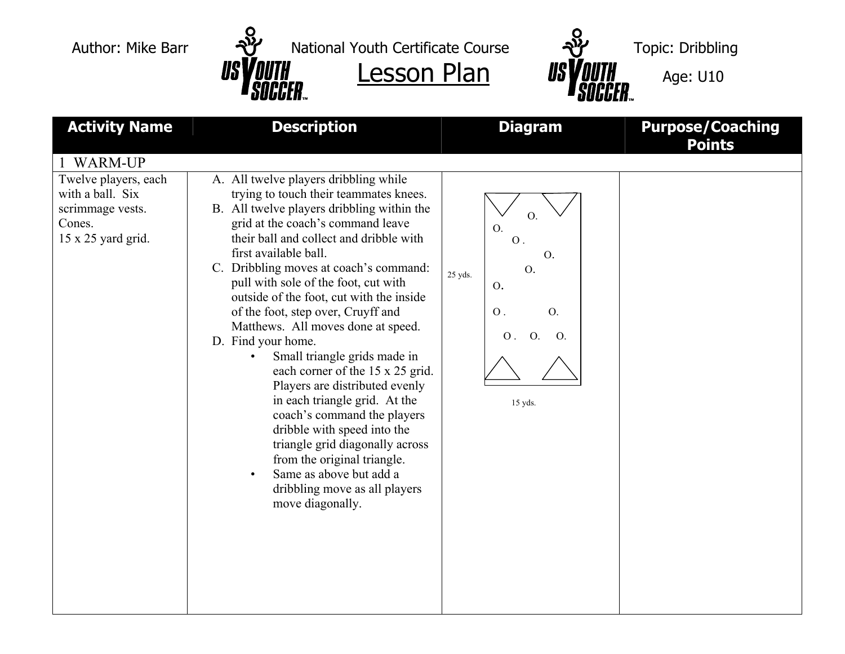Author: Mike Barr  $\mathbb{Y}$  National Youth Certificate Course  $\mathbb{Y}$  Topic: Dribbling



| <b>Activity Name</b><br><b>WARM-UP</b>                                                       | <b>Description</b>                                                                                                                                                                                                                                                                                                                                                                                                                                                                                                                                                                                                                                                                                                                                                                                                            | <b>Diagram</b>                                                                                                                                   | <b>Purpose/Coaching</b><br><b>Points</b> |
|----------------------------------------------------------------------------------------------|-------------------------------------------------------------------------------------------------------------------------------------------------------------------------------------------------------------------------------------------------------------------------------------------------------------------------------------------------------------------------------------------------------------------------------------------------------------------------------------------------------------------------------------------------------------------------------------------------------------------------------------------------------------------------------------------------------------------------------------------------------------------------------------------------------------------------------|--------------------------------------------------------------------------------------------------------------------------------------------------|------------------------------------------|
| Twelve players, each<br>with a ball. Six<br>scrimmage vests.<br>Cones.<br>15 x 25 yard grid. | A. All twelve players dribbling while<br>trying to touch their teammates knees.<br>B. All twelve players dribbling within the<br>grid at the coach's command leave<br>their ball and collect and dribble with<br>first available ball.<br>C. Dribbling moves at coach's command:<br>pull with sole of the foot, cut with<br>outside of the foot, cut with the inside<br>of the foot, step over, Cruyff and<br>Matthews. All moves done at speed.<br>D. Find your home.<br>Small triangle grids made in<br>each corner of the 15 x 25 grid.<br>Players are distributed evenly<br>in each triangle grid. At the<br>coach's command the players<br>dribble with speed into the<br>triangle grid diagonally across<br>from the original triangle.<br>Same as above but add a<br>dribbling move as all players<br>move diagonally. | O.<br>$O$ .<br>$\overline{O}$ .<br>0.<br>25 yds.<br>O.<br>$\overline{O}$ .<br>$\mathbf O$ .<br>O <sub>1</sub><br>O <sub>1</sub><br>O.<br>15 yds. |                                          |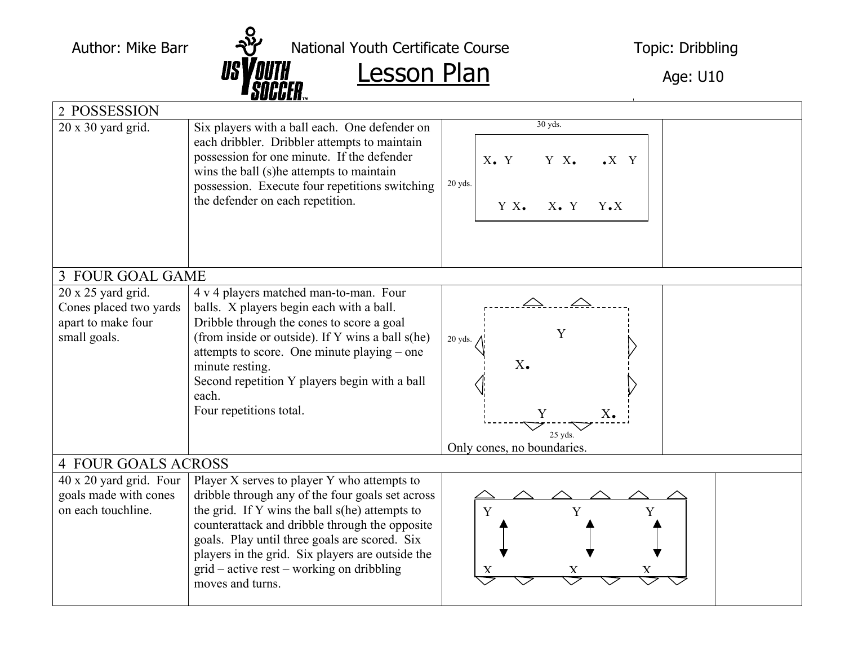Author: Mike Barr National Youth Certificate Course Topic: Dribbling

 $\frac{1}{s}$   $\frac{1}{s}$   $\frac{1}{s}$   $\frac{1}{s}$   $\frac{1}{s}$   $\frac{1}{s}$   $\frac{1}{s}$   $\frac{1}{s}$   $\frac{1}{s}$   $\frac{1}{s}$   $\frac{1}{s}$   $\frac{1}{s}$   $\frac{1}{s}$   $\frac{1}{s}$   $\frac{1}{s}$   $\frac{1}{s}$   $\frac{1}{s}$   $\frac{1}{s}$   $\frac{1}{s}$   $\frac{1}{s}$   $\frac{1}{s}$   $\frac{1}{s}$ 

|                            | U U U U L II ™                                                                                                                                                                                                                                                                 |                                                        |  |  |  |
|----------------------------|--------------------------------------------------------------------------------------------------------------------------------------------------------------------------------------------------------------------------------------------------------------------------------|--------------------------------------------------------|--|--|--|
| 2 POSSESSION               |                                                                                                                                                                                                                                                                                |                                                        |  |  |  |
| $20 \times 30$ yard grid.  | Six players with a ball each. One defender on<br>each dribbler. Dribbler attempts to maintain<br>possession for one minute. If the defender<br>wins the ball (s) he attempts to maintain<br>possession. Execute four repetitions switching<br>the defender on each repetition. | 30 yds.                                                |  |  |  |
|                            |                                                                                                                                                                                                                                                                                | $X\bullet Y$<br>Y X.<br>$\bullet X \quad Y$<br>20 yds. |  |  |  |
|                            |                                                                                                                                                                                                                                                                                | $Y X_{\bullet}$<br>$X_{\bullet}$ Y<br>$Y \cdot X$      |  |  |  |
| 3 FOUR GOAL GAME           |                                                                                                                                                                                                                                                                                |                                                        |  |  |  |
| $20 \times 25$ yard grid.  | 4 v 4 players matched man-to-man. Four                                                                                                                                                                                                                                         |                                                        |  |  |  |
| Cones placed two yards     | balls. X players begin each with a ball.                                                                                                                                                                                                                                       |                                                        |  |  |  |
| apart to make four         | Dribble through the cones to score a goal                                                                                                                                                                                                                                      |                                                        |  |  |  |
| small goals.               | (from inside or outside). If Y wins a ball s(he)                                                                                                                                                                                                                               | Y<br>20 yds.                                           |  |  |  |
|                            | attempts to score. One minute playing – one                                                                                                                                                                                                                                    |                                                        |  |  |  |
|                            | minute resting.                                                                                                                                                                                                                                                                | $X_{\bullet}$                                          |  |  |  |
|                            | Second repetition Y players begin with a ball                                                                                                                                                                                                                                  |                                                        |  |  |  |
|                            | each.                                                                                                                                                                                                                                                                          |                                                        |  |  |  |
|                            | Four repetitions total.                                                                                                                                                                                                                                                        | Y<br>$X_{\bullet}$                                     |  |  |  |
|                            |                                                                                                                                                                                                                                                                                | $25$ yds.                                              |  |  |  |
|                            |                                                                                                                                                                                                                                                                                | Only cones, no boundaries.                             |  |  |  |
| <b>4 FOUR GOALS ACROSS</b> |                                                                                                                                                                                                                                                                                |                                                        |  |  |  |
| 40 x 20 yard grid. Four    | Player X serves to player Y who attempts to                                                                                                                                                                                                                                    |                                                        |  |  |  |
| goals made with cones      | dribble through any of the four goals set across                                                                                                                                                                                                                               |                                                        |  |  |  |
| on each touchline.         | the grid. If Y wins the ball s(he) attempts to                                                                                                                                                                                                                                 | Y<br>Y                                                 |  |  |  |
|                            | counterattack and dribble through the opposite                                                                                                                                                                                                                                 |                                                        |  |  |  |
|                            | goals. Play until three goals are scored. Six<br>players in the grid. Six players are outside the                                                                                                                                                                              |                                                        |  |  |  |
|                            | grid – active rest – working on dribbling                                                                                                                                                                                                                                      |                                                        |  |  |  |
|                            | moves and turns.                                                                                                                                                                                                                                                               |                                                        |  |  |  |
|                            |                                                                                                                                                                                                                                                                                |                                                        |  |  |  |
|                            |                                                                                                                                                                                                                                                                                |                                                        |  |  |  |